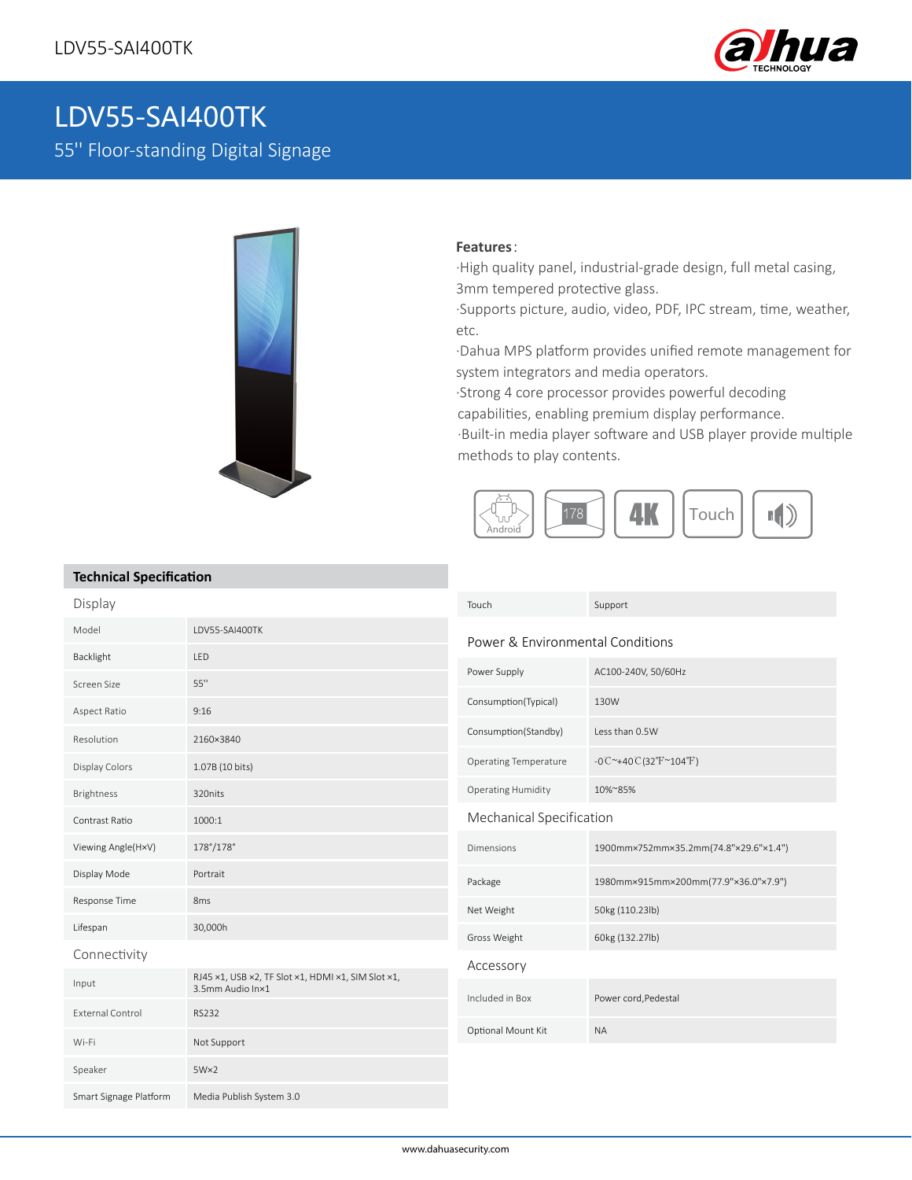

# LDV55-SAI400TK

55'' Floor-standing Digital Signage



### **Features**:

·High quality panel, industrial-grade design, full metal casing, 3mm tempered protective glass.

·Supports picture, audio, video, PDF, IPC stream, time, weather, etc.

·Dahua MPS platform provides unified remote management for system integrators and media operators.

·Strong 4 core processor provides powerful decoding

capabilities, enabling premium display performance.

·Built-in media player software and USB player provide multiple methods to play contents.



## **Technical Specification**

| Display                 |                                                                        | Touch                            | Support                                          |
|-------------------------|------------------------------------------------------------------------|----------------------------------|--------------------------------------------------|
| Model                   | LDV55-SAI400TK                                                         | Power & Environmental Conditions |                                                  |
| Backlight               | LED                                                                    |                                  |                                                  |
| Screen Size             | 55"                                                                    | Power Supply                     | AC100-240V, 50/60Hz                              |
| Aspect Ratio            | 9:16                                                                   | Consumption(Typical)             | 130W                                             |
| Resolution              | 2160×3840                                                              | Consumption(Standby)             | Less than 0.5W                                   |
| Display Colors          | 1.07B (10 bits)                                                        | <b>Operating Temperature</b>     | $-0C^{\sim}+40C(32^{\circ}F^{\sim}104^{\circ}F)$ |
| Brightness              | 320nits                                                                | <b>Operating Humidity</b>        | 10%~85%                                          |
| Contrast Ratio          | 1000:1                                                                 | Mechanical Specification         |                                                  |
| Viewing Angle(H×V)      | 178°/178°                                                              | <b>Dimensions</b>                | 1900mm×752mm×35.2mm(74.8"×29.6"×1.4")            |
| Display Mode            | Portrait                                                               | Package                          | 1980mm×915mm×200mm(77.9"×36.0"×7.9")             |
| Response Time           | 8 <sub>ms</sub>                                                        | Net Weight                       | 50kg (110.23lb)                                  |
| Lifespan                | 30,000h                                                                | Gross Weight                     | 60kg (132.27lb)                                  |
| Connectivity            |                                                                        | Accessory                        |                                                  |
| Input                   | RJ45 x1, USB x2, TF Slot x1, HDMI x1, SIM Slot x1,<br>3.5mm Audio In×1 | Included in Box                  | Power cord, Pedestal                             |
| <b>External Control</b> | <b>RS232</b>                                                           |                                  |                                                  |
| Wi-Fi                   | Not Support                                                            | Optional Mount Kit               | <b>NA</b>                                        |
| Speaker                 | $5W \times 2$                                                          |                                  |                                                  |
| Smart Signage Platform  | Media Publish System 3.0                                               |                                  |                                                  |